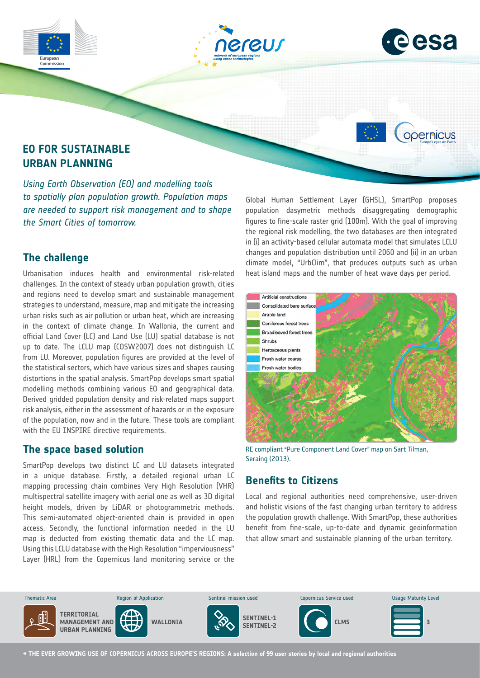



opernicus

# **EO FOR SUSTAINABLE URBAN PLANNING**

*Using Earth Observation (EO) and modelling tools to spatially plan population growth. Population maps are needed to support risk management and to shape the Smart Cities of tomorrow.*

## **The challenge**

Commission

Urbanisation induces health and environmental risk-related challenges. In the context of steady urban population growth, cities and regions need to develop smart and sustainable management strategies to understand, measure, map and mitigate the increasing urban risks such as air pollution or urban heat, which are increasing in the context of climate change. In Wallonia, the current and official Land Cover (LC) and Land Use (LU) spatial database is not up to date. The LCLU map (COSW2007) does not distinguish LC from LU. Moreover, population figures are provided at the level of the statistical sectors, which have various sizes and shapes causing distortions in the spatial analysis. SmartPop develops smart spatial modelling methods combining various EO and geographical data. Derived gridded population density and risk-related maps support risk analysis, either in the assessment of hazards or in the exposure of the population, now and in the future. These tools are compliant with the EU INSPIRE directive requirements.

#### **The space based solution**

SmartPop develops two distinct LC and LU datasets integrated in a unique database. Firstly, a detailed regional urban LC mapping processing chain combines Very High Resolution (VHR) multispectral satellite imagery with aerial one as well as 3D digital height models, driven by LiDAR or photogrammetric methods. This semi-automated object-oriented chain is provided in open access. Secondly, the functional information needed in the LU map is deducted from existing thematic data and the LC map. Using this LCLU database with the High Resolution "imperviousness" Layer (HRL) from the Copernicus land monitoring service or the

Global Human Settlement Layer (GHSL), SmartPop proposes population dasymetric methods disaggregating demographic figures to fine-scale raster grid (100m). With the goal of improving the regional risk modelling, the two databases are then integrated in (i) an activity-based cellular automata model that simulates LCLU changes and population distribution until 2060 and (ii) in an urban climate model, "UrbClim", that produces outputs such as urban heat island maps and the number of heat wave days per period.



RE compliant "Pure Component Land Cover" map on Sart Tilman, Seraing (2013).

# **Benefits to Citizens**

Local and regional authorities need comprehensive, user-driven and holistic visions of the fast changing urban territory to address the population growth challenge. With SmartPop, these authorities benefit from fine-scale, up-to-date and dynamic geoinformation that allow smart and sustainable planning of the urban territory.



**→ THE EVER GROWING USE OF COPERNICUS ACROSS EUROPE'S REGIONS: A selection of 99 user stories by local and regional authorities**